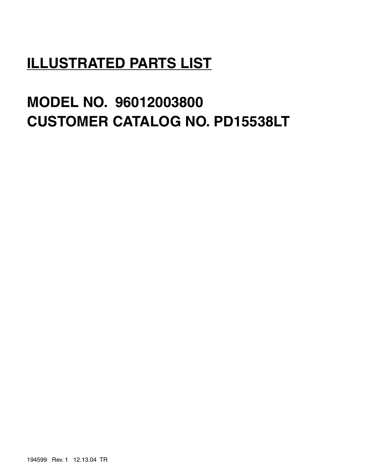# **ILLUSTRATED PARTS LIST**

# **MODEL NO. 96012003800 CUSTOMER CATALOG NO. PD15538LT**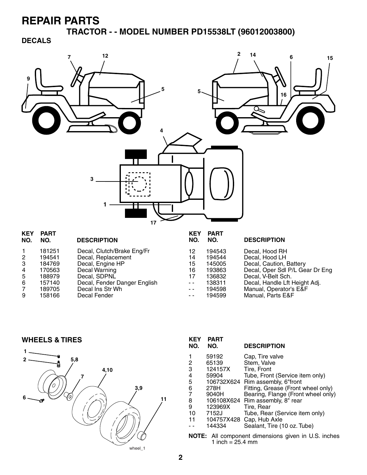**TRACTOR - - MODEL NUMBER PD15538LT (96012003800)**

**DECALS**



| NU. | NU.    | <b>DESCRIPTION</b>           | NU.  | NU.    | <b>DESCRIPTION</b>              |
|-----|--------|------------------------------|------|--------|---------------------------------|
|     | 181251 | Decal, Clutch/Brake Eng/Fr   | 12   | 194543 | Decal, Hood RH                  |
|     | 194541 | Decal, Replacement           | 14   | 194544 | Decal, Hood LH                  |
| 3   | 184769 | Decal, Engine HP             | 15   | 145005 | Decal, Caution, Battery         |
| 4   | 170563 | Decal Warning                | 16   | 193863 | Decal, Oper Sdl P/L Gear Dr Eng |
| 5.  | 188979 | Decal, SDPNL                 |      | 136832 | Decal, V-Belt Sch.              |
| 6.  | 157140 | Decal, Fender Danger English | $ -$ | 138311 | Decal, Handle Lft Height Adj.   |
|     | 189705 | Decal Ins Str Wh             | $ -$ | 194598 | Manual, Operator's E&F          |
| 9   | 158166 | Decal Fender                 | - -  | 194599 | Manual, Parts E&F               |
|     |        |                              |      |        |                                 |

**WHEELS & TIRES**



| <b>KEY</b><br>NO.                                                         | <b>PART</b><br>NO.                                                                                            | <b>DESCRIPTION</b>                                                                                                                                                                                                                                                                                                        |  |  |
|---------------------------------------------------------------------------|---------------------------------------------------------------------------------------------------------------|---------------------------------------------------------------------------------------------------------------------------------------------------------------------------------------------------------------------------------------------------------------------------------------------------------------------------|--|--|
| 1<br>2<br>3<br>$\frac{4}{5}$<br>6<br>$\overline{7}$<br>8<br>9<br>10<br>11 | 59192<br>65139<br>124157X<br>59904<br>278H<br>9040H<br>106108X624<br>123969X<br>7152J<br>104757X428<br>144334 | Cap, Tire valve<br>Stem, Valve<br>Tire. Front<br>Tube, Front (Service item only)<br>106732X624 Rim assembly, 6"front<br>Fitting, Grease (Front wheel only)<br>Bearing, Flange (Front wheel only)<br>Rim assembly, 8" rear<br>Tire, Rear<br>Tube, Rear (Service item only)<br>Cap, Hub Axle<br>Sealant, Tire (10 oz. Tube) |  |  |
| All component dimensions given in U.S. inche<br>NOTE:                     |                                                                                                               |                                                                                                                                                                                                                                                                                                                           |  |  |

**NOTE:** All component dimensions given in U.S. inches 1 inch =  $25.4 \, \text{mm}$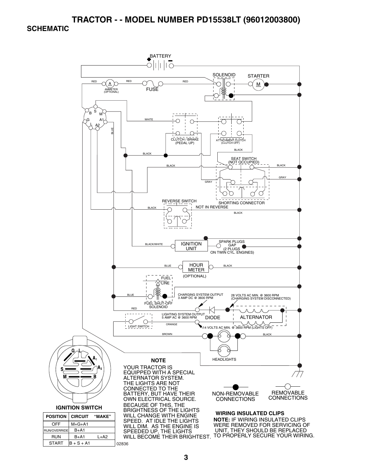### **TRACTOR - - MODEL NUMBER PD15538LT (96012003800)**

#### **SCHEMATIC**

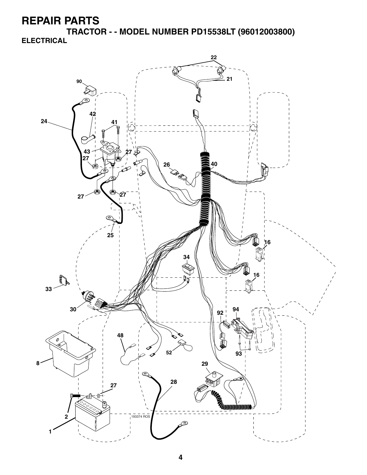**TRACTOR - - MODEL NUMBER PD15538LT (96012003800) ELECTRICAL**

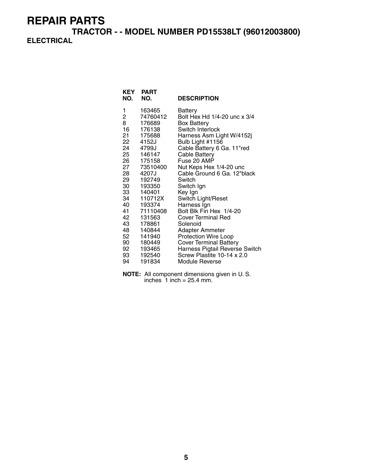**TRACTOR - - MODEL NUMBER PD15538LT (96012003800) ELECTRICAL**

| KEY<br>NO. | <b>PART</b><br>NO. | <b>DESCRIPTION</b>             |
|------------|--------------------|--------------------------------|
| 1          | 163465             | Battery                        |
| 2          | 74760412           | Bolt Hex Hd 1/4-20 unc x 3/4   |
| 8          | 176689             | Box Battery                    |
| 16         | 176138             | Switch Interlock               |
| 21         | 175688             | Harness Asm Light W/4152j      |
| 22         | 4152J              | Bulb Light #1156               |
| 24         | 4799J              | Cable Battery 6 Ga. 11"red     |
| 25         | 146147             | Cable Battery                  |
| 26         | 175158             | Fuse 20 AMP                    |
| 27         | 73510400           | Nut Keps Hex 1/4-20 unc        |
| 28         | 4207J              | Cable Ground 6 Ga. 12"black    |
| 29         | 192749             | Switch                         |
| 30         | 193350             | Switch Ign                     |
| 33         | 140401             | Key Ign                        |
| 34         | 110712X            | Switch Light/Reset             |
| 40         | 193374             | Harness Ign                    |
| 41         | 71110408           | Bolt Blk Fin Hex 1/4-20        |
| 42         | 131563             | <b>Cover Terminal Red</b>      |
| 43         | 178861             | Solenoid                       |
| 48         | 140844             | Adapter Ammeter                |
| 52         | 141940             | <b>Protection Wire Loop</b>    |
| 90         | 180449             | <b>Cover Terminal Battery</b>  |
| 92         | 193465             | Harness Pigtail Reverse Switch |
| 93         | 192540             | Screw Plastite 10-14 x 2.0     |
| 94         | 191834             | Module Reverse                 |

**NOTE:** All component dimensions given in U. S. inches  $1$  inch = 25.4 mm.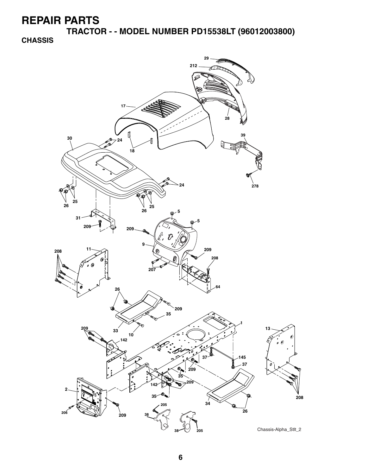**TRACTOR - - MODEL NUMBER PD15538LT (96012003800)**

**CHASSIS**

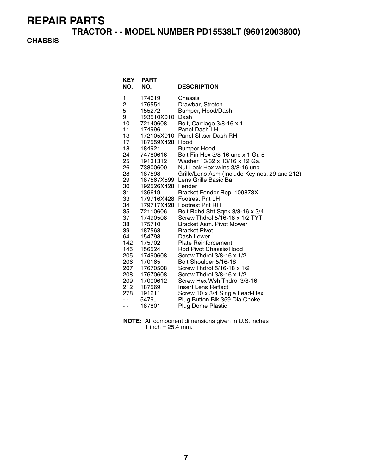**TRACTOR - - MODEL NUMBER PD15538LT (96012003800)**

### **CHASSIS**

| KEY<br>NO.                                                                                                                                                                                                                     | <b>PART</b><br>NO.                                                                                                                                                                                                                                                                                                                                  | <b>DESCRIPTION</b>                                                                                                                                                                                                                                                                                                                                                                                                                                                                                                                                                                                                                                                                                                                                                                                                                                                                                                   |
|--------------------------------------------------------------------------------------------------------------------------------------------------------------------------------------------------------------------------------|-----------------------------------------------------------------------------------------------------------------------------------------------------------------------------------------------------------------------------------------------------------------------------------------------------------------------------------------------------|----------------------------------------------------------------------------------------------------------------------------------------------------------------------------------------------------------------------------------------------------------------------------------------------------------------------------------------------------------------------------------------------------------------------------------------------------------------------------------------------------------------------------------------------------------------------------------------------------------------------------------------------------------------------------------------------------------------------------------------------------------------------------------------------------------------------------------------------------------------------------------------------------------------------|
| 1<br>$\overline{\mathbf{c}}$<br>5<br>9<br>10<br>11<br>13<br>17<br>18<br>24<br>25<br>26<br>28<br>29<br>30<br>31<br>33<br>34<br>35<br>37<br>38<br>39<br>64<br>142<br>145<br>205<br>206<br>207<br>208<br>209<br>212<br>278<br>. . | 174619<br>176554<br>155272<br>193510X010<br>72140608<br>174996<br>187559X428 Hood<br>184921<br>74780616<br>19131312<br>73800600<br>187598<br>192526X428 Fender<br>136619<br>72110606<br>17490508<br>175710<br>187568<br>154798<br>175702<br>156524<br>17490608<br>170165<br>17670508<br>17670608<br>17000612<br>187569<br>191611<br>5479J<br>187801 | Chassis<br>Drawbar, Stretch<br>Bumper, Hood/Dash<br>Dash<br>Bolt, Carriage 3/8-16 x 1<br>Panel Dash LH<br>172105X010 Panel Slkscr Dash RH<br><b>Bumper Hood</b><br>Bolt Fin Hex 3/8-16 unc x 1 Gr. 5<br>Washer 13/32 x 13/16 x 12 Ga.<br>Nut Lock Hex w/Ins 3/8-16 unc<br>Grille/Lens Asm (Include Key nos. 29 and 212)<br>187567X599 Lens Grille Basic Bar<br>Bracket Fender Repl 109873X<br>179716X428 Footrest Pnt LH<br>179717X428 Footrest Pnt RH<br>Bolt Rdhd Sht Sqnk 3/8-16 x 3/4<br>Screw Thdrol 5/16-18 x 1/2 TYT<br>Bracket Asm. Pivot Mower<br><b>Bracket Pivot</b><br>Dash Lower<br><b>Plate Reinforcement</b><br>Rod Pivot Chassis/Hood<br>Screw Thdrol 3/8-16 x 1/2<br>Bolt Shoulder 5/16-18<br>Screw Thdrol 5/16-18 x 1/2<br>Screw Thdrol 3/8-16 x 1/2<br>Screw Hex Wsh Thdrol 3/8-16<br>Insert Lens Reflect<br>Screw 10 x 3/4 Single Lead-Hex<br>Plug Button Blk 359 Dia Choke<br>Plug Dome Plastic |

**NOTE:** All component dimensions given in U.S. inches 1 inch =  $25.4$  mm.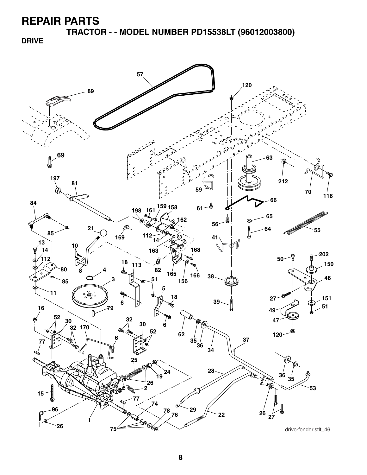**TRACTOR - - MODEL NUMBER PD15538LT (96012003800)**

**DRIVE**

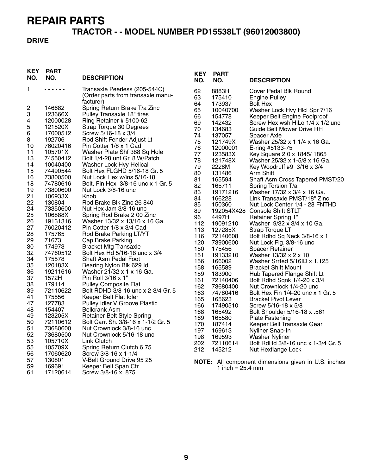# **TRACTOR - - MODEL NUMBER PD15538LT (96012003800)**

### **DRIVE**

| <b>KEY</b><br>NO. | <b>PART</b><br>NO. | <b>DESCRIPTION</b>                                            | <b>KEY</b><br>NO. | <b>PART</b><br>NO.         | <b>DESCRIPTION</b>                                  |
|-------------------|--------------------|---------------------------------------------------------------|-------------------|----------------------------|-----------------------------------------------------|
| 1                 | .                  | Transaxle Peerless (205-544C)                                 | 62                | 8883R                      | Cover Pedal Blk Round                               |
|                   |                    | (Order parts from transaxle manu-                             | 63                | 175410                     | <b>Engine Pulley</b>                                |
|                   |                    | facturer)                                                     | 64                | 173937                     | <b>Bolt Hex</b>                                     |
| 2                 | 146682             | Spring Return Brake T/a Zinc                                  | 65                | 10040700                   | Washer Lock Hvy Hlcl Spr 7/16                       |
| 3                 | 123666X            | Pulley Transaxle 18" tires                                    | 66                | 154778                     | Keeper Belt Engine Foolproof                        |
| 4                 | 12000028           | Ring Retainer # 5100-62                                       | 69                | 142432                     | Screw Hex wsh HiLo 1/4 x 1/2 unc                    |
| 5                 | 121520X            | Strap Torque 30 Degrees                                       | 70                | 134683                     | Guide Belt Mower Drive RH                           |
| 6                 | 17000512           | Screw 5/16-18 x 3/4                                           | 74                | 137057                     | Spacer Axle                                         |
| 8                 | 192706             | Rod Shift Fender Adjust Lt                                    | 75                | 121749X                    | Washer 25/32 x 1 1/4 x 16 Ga.                       |
| 10                | 76020416           | Pin Cotter 1/8 x 1 Cad                                        | 76                | 12000001                   | E-ring #5133-75                                     |
| 11                | 105701X            | Washer Plate Shf 388 Sq Hole                                  | 77                | 123583X                    | Key Square 2 0 x 1845/1865                          |
| 13                | 74550412           | Bolt 1/4-28 unf Gr. 8 W/Patch                                 | 78                | 121748X                    | Washer 25/32 x 1-5/8 x 16 Ga.                       |
| 14                | 10040400           | Washer Lock Hvy Helical                                       | 79                | 2228M                      | Key Woodruff #9 3/16 x 3/4                          |
| 15                | 74490544           | Bolt Hex FLGHD 5/16-18 Gr. 5                                  | 80                | 131486                     | Arm Shift                                           |
| 16                | 73800500           | Nut Lock Hex w/ins 5/16-18                                    | 81                | 165594                     | Shaft Asm Cross Tapered PMST/20                     |
| 18                | 74780616           | Bolt, Fin Hex 3/8-16 unc x 1 Gr. 5                            | 82                | 165711                     | Spring Torsion T/a                                  |
| 19                | 73800600           | Nut Lock 3/8-16 unc                                           | 83                | 19171216                   | Washer 17/32 x 3/4 x 16 Ga.                         |
| 21                | 106933X            | Knob                                                          | 84                | 166228                     | Link Transaxle PMST/18" Zinc                        |
| 22                | 130804             | Rod Brake Blk Zinc 26 840                                     | 85                | 150360                     | Nut Lock Center 1/4 - 28 FNTHD                      |
| 24                | 73350600           | Nut Hex Jam 3/8-16 unc                                        | 89                |                            | 192054X428 Console Shift STLT                       |
| 25                | 106888X            | Spring Rod Brake 2 00 Zinc                                    | 96                | 4497H                      | Retainer Spring 1"                                  |
| 26                | 19131316           | Washer 13/32 x 13/16 x 16 Ga.                                 | 112               | 19091210                   | Washer 9/32 x 3/4 x 10 Ga.                          |
| 27                | 76020412           | Pin Cotter 1/8 x 3/4 Cad                                      | 113               | 127285X                    | Strap Torque LT                                     |
| 28                | 175765             | Rod Brake Parking LT/YT                                       | 116               | 72140608                   | Bolt Rdhd Sq Neck 3/8-16 x 1                        |
| 29<br>30          | 71673              | Cap Brake Parking                                             | 120               | 73900600                   | Nut Lock Flg. 3/8-16 unc                            |
| 32                | 174973<br>74760512 | <b>Bracket Mtg Transaxle</b><br>Bolt Hex Hd 5/16-18 unc x 3/4 | 150               | 175456                     | Spacer Retainer                                     |
| 34                | 175578             | Shaft Asm Pedal Foot                                          | 151               | 19133210                   | Washer 13/32 x 2 x 10                               |
| 35                | 120183X            | Bearing Nylon Blk 629 Id                                      | 156               | 166002                     | Washer Srrted 5/16ID x 1.125                        |
| 36                | 19211616           | Washer 21/32 x 1 x 16 Ga.                                     | 158               | 165589                     | <b>Bracket Shift Mount</b>                          |
| 37                | 1572H              | Pin Roll 3/16 x 1"                                            | 159               | 183900                     | Hub Tapered Flange Shift Lt                         |
| 38                | 179114             | <b>Pulley Composite Flat</b>                                  | 161               | 72140406                   | Bolt Rdhd Sqnk 1/4-20 x 3/4                         |
| 39                | 72110622           | Bolt RDHD 3/8-16 unc x 2-3/4 Gr. 5                            | 162               | 73680400                   | Nut Crownlock 1/4-20 unc                            |
| 41                | 175556             | Keeper Belt Flat Idler                                        | 163               | 74780416                   | Bolt Hex Fin 1/4-20 unc x 1 Gr. 5                   |
| 47                | 127783             | Pulley Idler V Groove Plastic                                 | 165               | 165623                     | <b>Bracket Pivot Lever</b>                          |
| 48                | 154407             | <b>Bellcrank Asm</b>                                          | 166               | 17490510                   | Screw 5/16-18 x 5/8                                 |
| 49                | 123205X            | <b>Retainer Belt Style Spring</b>                             | 168               | 165492                     | Bolt Shoulder 5/16-18 x .561                        |
| 50                | 72110612           | Bolt Carr. Sh. 3/8-16 x 1-1/2 Gr. 5                           | 169               | 165580                     | <b>Plate Fastening</b>                              |
| 51                | 73680600           | Nut Crownlock 3/8-16 unc                                      | 170               | 187414                     | Keeper Belt Transaxle Gear                          |
| 52                | 73680500           | Nut Crownlock 5/16-18 unc                                     | 197               | 169613                     | Nyliner Snap-In                                     |
| 53                | 105710X            | Link Clutch                                                   | 198               | 169593                     | <b>Washer Nyliner</b>                               |
| 55                | 105709X            | Spring Return Clutch 675                                      | 202               | 72110614                   | Bolt RdHd 3/8-16 unc x 1-3/4 Gr. 5                  |
| 56                | 17060620           | Screw 3/8-16 x 1-1/4                                          | 212               | 145212                     | Nut Hexflange Lock                                  |
| 57                | 130801             | V-Belt Ground Drive 95 25                                     |                   |                            | NOTE: All component dimensions given in U.S. inches |
| 59                | 169691             | Keeper Belt Span Ctr                                          |                   | 1 inch = $25.4 \text{ mm}$ |                                                     |
| 61                | 17120614           | Screw 3/8-16 x .875                                           |                   |                            |                                                     |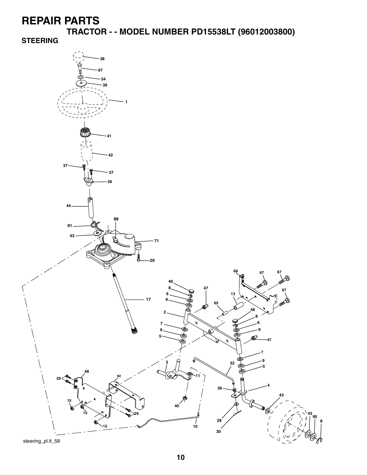**TRACTOR - - MODEL NUMBER PD15538LT (96012003800)**

**STEERING**



steering\_pl.lt\_58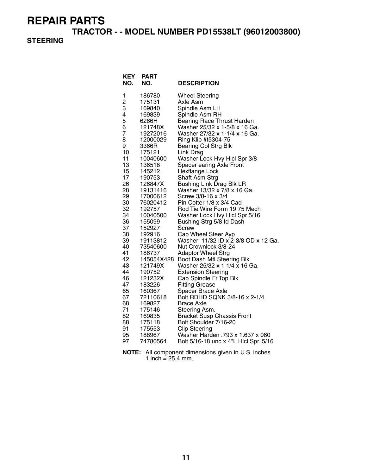**TRACTOR - - MODEL NUMBER PD15538LT (96012003800)**

### **STEERING**

| <b>KEY</b><br>NO. | PART<br>NO.          | <b>DESCRIPTION</b>                                             |
|-------------------|----------------------|----------------------------------------------------------------|
| 1                 | 186780               | <b>Wheel Steering</b>                                          |
| 2                 | 175131               | Axle Asm                                                       |
| 3                 | 169840               | Spindle Asm LH                                                 |
| 4                 | 169839               | Spindle Asm RH                                                 |
| 5                 | 6266H                | <b>Bearing Race Thrust Harden</b>                              |
| 6<br>7            | 121748X              | Washer 25/32 x 1-5/8 x 16 Ga.<br>Washer 27/32 x 1-1/4 x 16 Ga. |
| 8                 | 19272016<br>12000029 | Ring Klip #t5304-75                                            |
| 9                 | 3366R                | <b>Bearing Col Strg Blk</b>                                    |
| 10                | 175121               | Link Drag                                                      |
| 11                | 10040600             | Washer Lock Hvy Hicl Spr 3/8                                   |
| 13                | 136518               | Spacer earing Axle Front                                       |
| 15                | 145212               | <b>Hexflange Lock</b>                                          |
| 17                | 190753               | Shaft Asm Strg                                                 |
| 26                | 126847X              | <b>Bushing Link Drag Blk LR</b>                                |
| 28                | 19131416             | Washer 13/32 x 7/8 x 16 Ga.                                    |
| 29                | 17000612             | Screw 3/8-16 x 3/4                                             |
| 30                | 76020412             | Pin Cotter 1/8 x 3/4 Cad                                       |
| 32<br>34          | 192757               | Rod Tie Wire Form 19 75 Mech                                   |
| 36                | 10040500<br>155099   | Washer Lock Hvy Hicl Spr 5/16<br>Bushing Strg 5/8 Id Dash      |
| 37                | 152927               | Screw                                                          |
| 38                | 192916               | Cap Wheel Steer Ayp                                            |
| 39                | 19113812             | Washer 11/32 ID x 2-3/8 OD x 12 Ga.                            |
| 40                | 73540600             | Nut Crownlock 3/8-24                                           |
| 41                | 186737               | <b>Adaptor Wheel Strg</b>                                      |
| 42                | 145054X428           | Boot Dash Mtl Steering Blk                                     |
| 43                | 121749X              | Washer 25/32 x 1 1/4 x 16 Ga.                                  |
| 44                | 190752               | <b>Extension Steering</b>                                      |
| 46                | 121232X              | Cap Spindle Fr Top Blk                                         |
| 47                | 183226               | <b>Fitting Grease</b>                                          |
| 65<br>67          | 160367               | Spacer Brace Axle<br>Bolt RDHD SQNK 3/8-16 x 2-1/4             |
| 68                | 72110618<br>169827   | Brace Axle                                                     |
| 71                | 175146               | Steering Asm.                                                  |
| 82                | 169835               | <b>Bracket Susp Chassis Front</b>                              |
| 88                | 175118               | Bolt Shoulder 7/16-20                                          |
| 91                | 175553               | <b>Clip Steering</b>                                           |
| 95                | 188967               | Washer Harden .793 x 1.637 x 060                               |
| 97                | 74780564             | Bolt 5/16-18 unc x 4"L Hicl Spr. 5/16                          |

**NOTE:** All component dimensions given in U.S. inches 1 inch =  $25.4$  mm.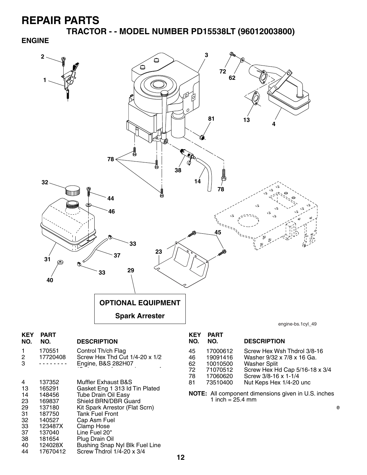**TRACTOR - - MODEL NUMBER PD15538LT (96012003800)**

#### **ENGINE**



Screw Thdrol  $1/4$ -20 x 3/4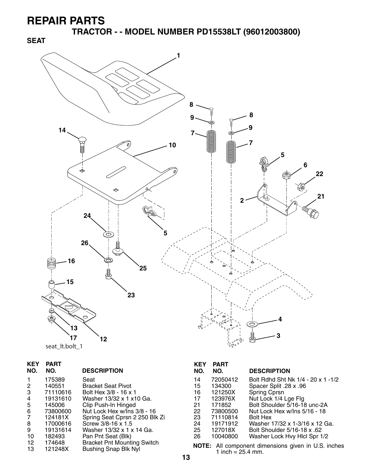**SEAT**

**TRACTOR - - MODEL NUMBER PD15538LT (96012003800)**



|  | seat It.bolt 1 |  |
|--|----------------|--|
|--|----------------|--|

| <b>KEY</b><br>NO. | PART<br>NO. | <b>DESCRIPTION</b>                 |
|-------------------|-------------|------------------------------------|
| 1                 | 175389      | Seat                               |
| 2                 | 140551      | <b>Bracket Seat Pivot</b>          |
| 3                 | 71110616    | Bolt Hex 3/8 - 16 x 1              |
| 4                 | 19131610    | Washer 13/32 x 1 x10 Ga.           |
| 5                 | 145006      | Clip Push-In Hinged                |
| 6                 | 73800600    | Nut Lock Hex w/Ins 3/8 - 16        |
| 7                 | 124181X     | Spring Seat Cprsn 2 250 Blk Zi     |
| 8                 | 17000616    | Screw 3/8-16 x 1.5                 |
| 9                 | 19131614    | Washer 13/32 x 1 x 14 Ga.          |
| 10                | 182493      | Pan Pnt Seat (Blk)                 |
| 12                | 174648      | <b>Bracket Pnt Mounting Switch</b> |
| 13                | 121248X     | <b>Bushing Snap Blk Nyl</b>        |

#### **KEY PART DESCRIPTION** 14 72050412 Bolt Rdhd Sht Nk 1/4 - 20 x 1 -1/2 15 134300 Spacer Split .28 x .96<br>16 121250X Spring Cprsn

| 16 | 121250X  | Spring Cprsn                   |
|----|----------|--------------------------------|
| 17 | 123976X  | Nut Lock 1/4 Lge Flg           |
| 21 | 171852   | Bolt Shoulder 5/16-18 unc-2A   |
| 22 | 73800500 | Nut Lock Hex w/Ins 5/16 - 18   |
| 23 | 71110814 | <b>Bolt Hex</b>                |
| 24 | 19171912 | Washer 17/32 x 1-3/16 x 12 Ga. |
| 25 | 127018X  | Bolt Shoulder 5/16-18 x .62    |
| 26 | 10040800 | Washer Lock Hvy Hlcl Spr 1/2   |
|    |          |                                |

**NOTE:** All component dimensions given in U.S. inches 1 inch =  $25.4$  mm.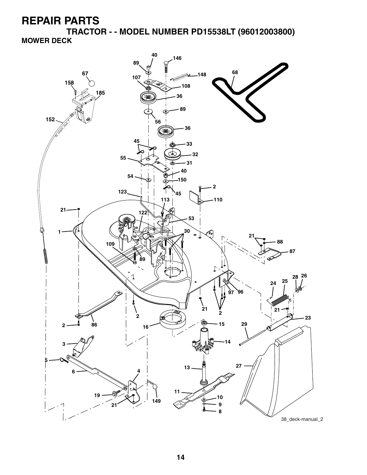**TRACTOR - - MODEL NUMBER PD15538LT (96012003800) MOWER DECK**

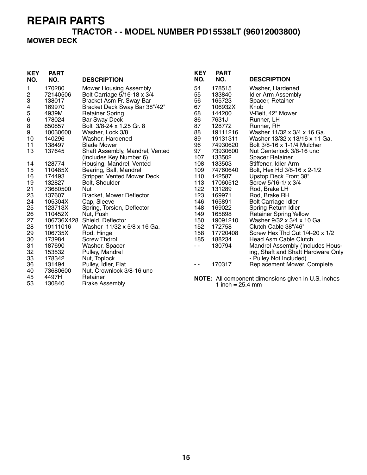# **TRACTOR - - MODEL NUMBER PD15538LT (96012003800)**

### **MOWER DECK**

| <b>KEY</b><br>NO. | <b>PART</b><br>NO. | <b>DESCRIPTION</b>              | <b>KEY</b><br>NO. | <b>PART</b><br>NO.         | <b>DESCRIPTION</b>                                         |
|-------------------|--------------------|---------------------------------|-------------------|----------------------------|------------------------------------------------------------|
| 1                 | 170280             | <b>Mower Housing Assembly</b>   | 54                | 178515                     | Washer, Hardened                                           |
| 2                 | 72140506           | Bolt Carriage 5/16-18 x 3/4     | 55                | 133840                     | <b>Idler Arm Assembly</b>                                  |
| 3                 | 138017             | Bracket Asm Fr. Sway Bar        | 56                | 165723                     | Spacer, Retainer                                           |
| 4                 | 169970             | Bracket Deck Sway Bar 38"/42"   | 67                | 106932X                    | Knob                                                       |
| 5                 | 4939M              | <b>Retainer Spring</b>          | 68                | 144200                     | V-Belt, 42" Mower                                          |
| 6                 | 178024             | <b>Bar Sway Deck</b>            | 86                | 7631J                      | Runner, LH                                                 |
| 8                 | 850857             | Bolt 3/8-24 x 1.25 Gr. 8        | 87                | 128772                     | Runner, RH                                                 |
| 9                 | 10030600           | Washer, Lock 3/8                | 88                | 19111216                   | Washer 11/32 x 3/4 x 16 Ga.                                |
| 10                | 140296             | Washer, Hardened                | 89                | 19131311                   | Washer 13/32 x 13/16 x 11 Ga.                              |
| 11                | 138497             | <b>Blade Mower</b>              | 96                | 74930620                   | Bolt 3/8-16 x 1-1/4 Mulcher                                |
| 13                | 137645             | Shaft Assembly, Mandrel, Vented | 97                | 73930600                   | Nut Centerlock 3/8-16 unc                                  |
|                   |                    | (Includes Key Number 6)         | 107               | 133502                     | <b>Spacer Retainer</b>                                     |
| 14                | 128774             | Housing, Mandrel, Vented        | 108               | 133503                     | Stiffener, Idler Arm                                       |
| 15                | 110485X            | Bearing, Ball, Mandrel          | 109               | 74760640                   | Bolt, Hex Hd 3/8-16 x 2-1/2                                |
| 16                | 174493             | Stripper, Vented Mower Deck     | 110               | 142587                     | Upstop Deck Front 38"                                      |
| 19                | 132827             | Bolt, Shoulder                  | 113               | 17060512                   | Screw 5/16-1/ x 3/4                                        |
| 21                | 73680500           | Nut                             | 122               | 131289                     | Rod, Brake LH                                              |
| 23                | 137607             | Bracket, Mower Deflector        | 123               | 169971                     | Rod, Brake RH                                              |
| 24                | 105304X            | Cap, Sleeve                     | 146               | 165891                     | <b>Bolt Carriage Idler</b>                                 |
| 25                | 123713X            | Spring, Torsion, Deflector      | 148               | 169022                     | Spring Return Idler                                        |
| 26                | 110452X            | Nut, Push                       | 149               | 165898                     | <b>Retainer Spring Yellow</b>                              |
| 27                | 106736X428         | Shield, Deflector               | 150               | 19091210                   | Washer 9/32 x 3/4 x 10 Ga.                                 |
| 28                | 19111016           | Washer 11/32 x 5/8 x 16 Ga.     | 152               | 172758                     | Clutch Cable 38"/46"                                       |
| 29                | 106735X            | Rod, Hinge                      | 158               | 17720408                   | Screw Hex Thd Cut 1/4-20 x 1/2                             |
| 30                | 173984             | Screw Thdrol.                   | 185               | 188234                     | <b>Head Asm Cable Clutch</b>                               |
| 31                | 187690             | Washer, Spacer                  | $\sim$ $\sim$     | 130794                     | Mandrel Assembly (Includes Hous-                           |
| 32                | 153532             | Pulley, Mandrel                 |                   |                            | ing, Shaft and Shaft Hardware Only                         |
| 33                | 178342             | Nut, Toplock                    |                   |                            | - Pulley Not Included)                                     |
| 36                | 131494             | Pulley, Idler, Flat             | $ -$              | 170317                     | Replacement Mower, Complete                                |
| 40                | 73680600           | Nut, Crownlock 3/8-16 unc       |                   |                            |                                                            |
| 45                | 4497H              | Retainer                        |                   |                            | <b>NOTE:</b> All component dimensions given in U.S. inches |
| 53                | 130840             | <b>Brake Assembly</b>           |                   | 1 inch = $25.4 \text{ mm}$ |                                                            |